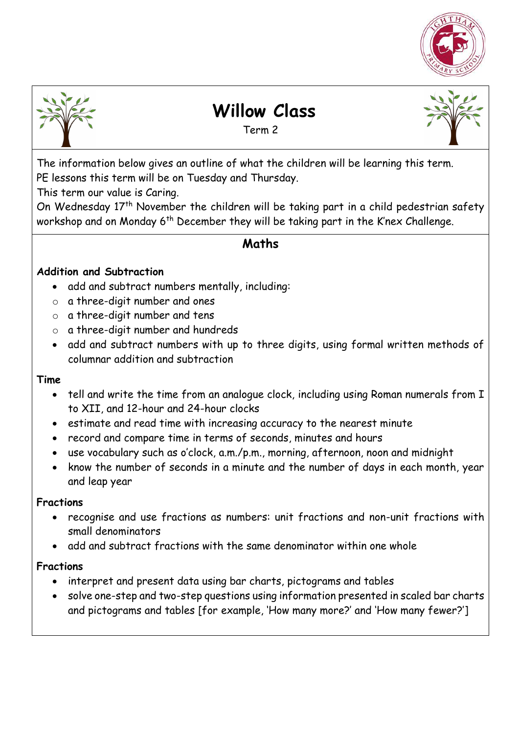



# **Willow Class**

Term 2



The information below gives an outline of what the children will be learning this term. PE lessons this term will be on Tuesday and Thursday.

This term our value is Caring.

On Wednesday 17th November the children will be taking part in a child pedestrian safety workshop and on Monday 6<sup>th</sup> December they will be taking part in the K'nex Challenge.

## **Maths**

#### **Addition and Subtraction**

- add and subtract numbers mentally, including:
- o a three-digit number and ones
- o a three-digit number and tens
- o a three-digit number and hundreds
- add and subtract numbers with up to three digits, using formal written methods of columnar addition and subtraction

#### **Time**

- tell and write the time from an analogue clock, including using Roman numerals from I to XII, and 12-hour and 24-hour clocks
- estimate and read time with increasing accuracy to the nearest minute
- record and compare time in terms of seconds, minutes and hours
- use vocabulary such as o'clock, a.m./p.m., morning, afternoon, noon and midnight
- know the number of seconds in a minute and the number of days in each month, year and leap year

#### **Fractions**

- recognise and use fractions as numbers: unit fractions and non-unit fractions with small denominators
- add and subtract fractions with the same denominator within one whole

#### **Fractions**

- interpret and present data using bar charts, pictograms and tables
- solve one-step and two-step questions using information presented in scaled bar charts and pictograms and tables [for example, 'How many more?' and 'How many fewer?']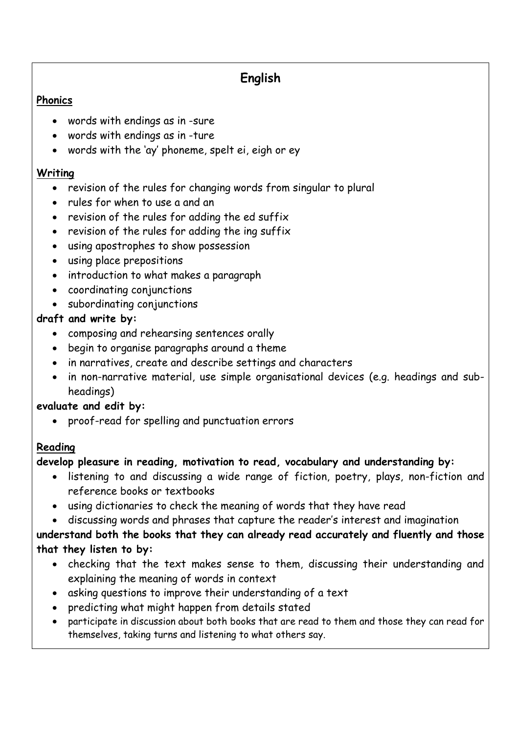# **English**

#### **Phonics**

- words with endings as in -sure
- words with endings as in -ture
- words with the 'ay' phoneme, spelt ei, eigh or ey

#### **Writing**

- revision of the rules for changing words from singular to plural
- rules for when to use a and an
- revision of the rules for adding the ed suffix
- revision of the rules for adding the ing suffix
- using apostrophes to show possession
- using place prepositions
- introduction to what makes a paragraph
- coordinating conjunctions
- subordinating conjunctions

### **draft and write by:**

- composing and rehearsing sentences orally
- begin to organise paragraphs around a theme
- in narratives, create and describe settings and characters
- in non-narrative material, use simple organisational devices (e.g. headings and subheadings)

### **evaluate and edit by:**

proof-read for spelling and punctuation errors

### **Reading**

### **develop pleasure in reading, motivation to read, vocabulary and understanding by:**

- listening to and discussing a wide range of fiction, poetry, plays, non-fiction and reference books or textbooks
- using dictionaries to check the meaning of words that they have read
- discussing words and phrases that capture the reader's interest and imagination

### **understand both the books that they can already read accurately and fluently and those that they listen to by:**

- checking that the text makes sense to them, discussing their understanding and explaining the meaning of words in context
- asking questions to improve their understanding of a text
- predicting what might happen from details stated
- participate in discussion about both books that are read to them and those they can read for themselves, taking turns and listening to what others say.